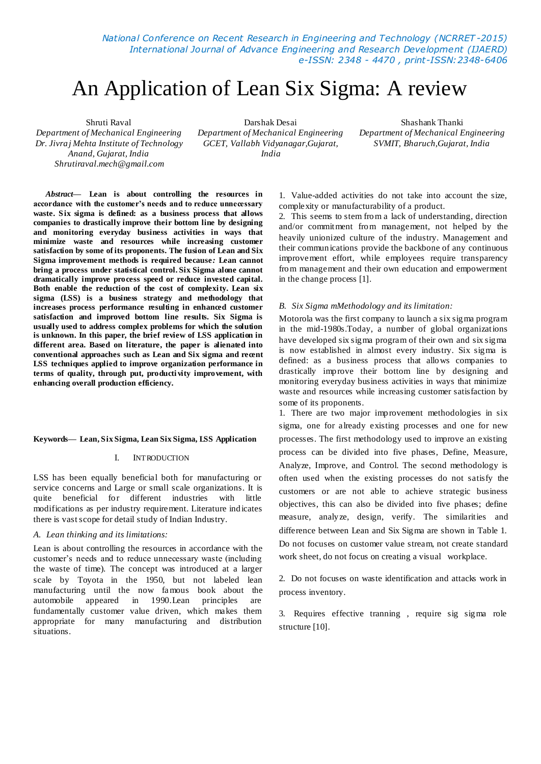*National Conference on Recent Research in Engineering and Technology (NCRRET -2015) International Journal of Advance Engineering and Research Development (IJAERD) e-ISSN: 2348 - 4470 , print-ISSN:2348-6406*

# An Application of Lean Six Sigma: A review

Shruti Raval *Department of Mechanical Engineering Dr. Jivraj Mehta Institute of Technology Anand, Gujarat, India Shrutiraval.mech@gmail.com*

Darshak Desai *Department of Mechanical Engineering GCET, Vallabh Vidyanagar,Gujarat, India*

Shashank Thanki *Department of Mechanical Engineering SVMIT, Bharuch,Gujarat, India*

*Abstract***— Lean is about controlling the resources in accordance with the customer's needs and to reduce unnecessary waste. Six sigma is defined: as a business process that allows companies to drastically improve their bottom line by designing and monitoring everyday business activities in ways that minimize waste and resources while increasing customer satisfaction by some of its proponents. The fusion of Lean and Six Sigma improvement methods is required because***:* **Lean cannot bring a process under statistical control. Six Sigma alone cannot dramatically improve process speed or reduce invested capital. Both enable the reduction of the cost of complexity. Lean six sigma (LSS) is a business strategy and methodology that increases process performance resulting in enhanced customer satisfaction and improved bottom line results. Six Sigma is usually used to address complex problems for which the solution is unknown. In this paper, the brief review of LSS application in different area. Based on literature, the paper is alienated into conventional approaches such as Lean and Six sigma and recent LSS techniques applied to improve organization performance in terms of quality, through put, producti vity improvement, with enhancing overall production efficiency.**

#### **Keywords— Lean, Six Sigma, Lean Six Sigma, LSS Application**

#### I. INTRODUCTION

LSS has been equally beneficial both for manufacturing or service concerns and Large or small scale organizations. It is quite beneficial for different industries with little modifications as per industry requirement. Literature indicates there is vast scope for detail study of Indian Industry.

#### *A. Lean thinking and its limitations:*

Lean is about controlling the resources in accordance with the customer's needs and to reduce unnecessary waste (including the waste of time). The concept was introduced at a larger scale by Toyota in the 1950, but not labeled lean manufacturing until the now famous book about the automobile appeared in 1990.Lean principles are fundamentally customer value driven, which makes them appropriate for many manufacturing and distribution situations.

1. Value-added activities do not take into account the size, complexity or manufacturability of a product.

2. This seems to stem from a lack of understanding, direction and/or commitment from management, not helped by the heavily unionized culture of the industry. Management and their communications provide the backbone of any continuous improvement effort, while employees require transparency from management and their own education and empowerment in the change process [1].

#### *B. Six Sigma mMethodology and its limitation:*

Motorola was the first company to launch a six sigma program in the mid-1980s.Today, a number of global organizations have developed six sigma program of their own and six sigma is now established in almost every industry. Six sigma is defined: as a business process that allows companies to drastically improve their bottom line by designing and monitoring everyday business activities in ways that minimize waste and resources while increasing customer satisfaction by some of its proponents.

1. There are two major improvement methodologies in six sigma, one for already existing processes and one for new processes. The first methodology used to improve an existing process can be divided into five phases, Define, Measure, Analyze, Improve, and Control. The second methodology is often used when the existing processes do not satisfy the customers or are not able to achieve strategic business objectives, this can also be divided into five phases; define measure, analyze, design, verify. The similarities and difference between Lean and Six Sigma are shown in Table 1. Do not focuses on customer value stream, not create standard work sheet, do not focus on creating a visual workplace.

2. Do not focuses on waste identification and attacks work in process inventory.

3. Requires effective tranning , require sig sigma role structure [10].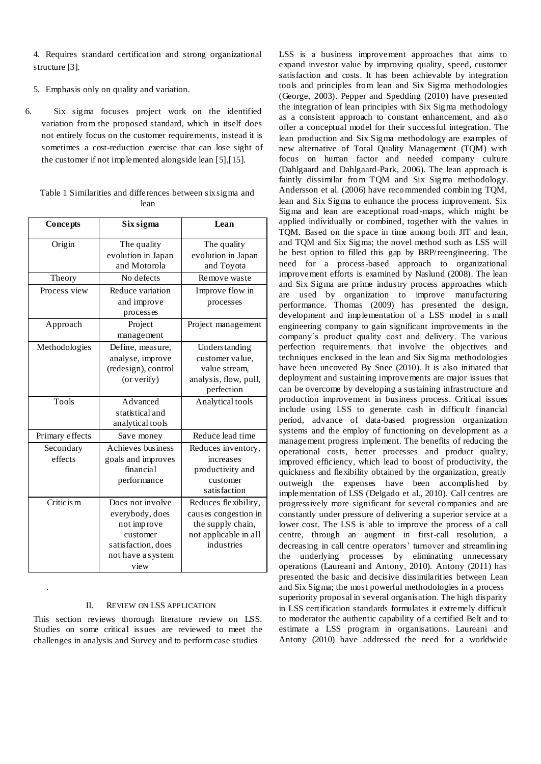4. Requires standard certification and strong organizational structure [3].

- 5. Emphasis only on quality and variation.
- 6. Six sigma focuses project work on the identified variation from the proposed standard, which in itself does not entirely focus on the customer requirements, instead it is sometimes a cost-reduction exercise that can lose sight of the customer if not implemented alongside lean [5],[15].

|  | Table 1 Similarities and differences between six sigma and |  |  |
|--|------------------------------------------------------------|--|--|
|  | lean                                                       |  |  |

| <b>Concepts</b>      | Six sigma                                                                                                         | Lean                                                                                                     |
|----------------------|-------------------------------------------------------------------------------------------------------------------|----------------------------------------------------------------------------------------------------------|
| Origin               | The quality<br>evolution in Japan<br>and Motorola                                                                 | The quality<br>evolution in Japan<br>and Toyota                                                          |
| Theory               | No defects                                                                                                        | Remove waste                                                                                             |
| Process view         | Reduce variation<br>and improve<br>processes                                                                      | Improve flow in<br>processes                                                                             |
| Approach             | Project<br>management                                                                                             | Project management                                                                                       |
| Methodologies        | Define, measure,<br>analyse, improve<br>(redesign), control<br>(or verify)                                        | Understanding<br>customer value.<br>value stream.<br>analysis, flow, pull,<br>perfection                 |
| Tools                | Advanced<br>statistical and<br>analytical tools                                                                   | Analytical tools                                                                                         |
| Primary effects      | Save money                                                                                                        | Reduce lead time                                                                                         |
| Secondary<br>effects | Achieves business<br>goals and improves<br>financial<br>performance                                               | Reduces inventory,<br>increases<br>productivity and<br>customer<br>satisfaction                          |
| Critic is m          | Does not involve<br>everybody, does<br>not improve<br>customer<br>satisfaction, does<br>not have a system<br>view | Reduces flexibility,<br>causes congestion in<br>the supply chain,<br>not applicable in all<br>industries |

### II. REVIEW ON LSS APPLICATION

This section reviews thorough literature review on LSS. Studies on some critical issues are reviewed to meet the challenges in analysis and Survey and to perform case studies

.

LSS is a business improvement approaches that aims to expand investor value by improving quality, speed, customer satisfaction and costs. It has been achievable by integration tools and principles from lean and Six Sigma methodologies (George, 2003). Pepper and Spedding (2010) have presented the integration of lean principles with Six Sigma methodology as a consistent approach to constant enhancement, and also offer a conceptual model for their successful integration. The lean production and Six Sigma methodology are examples of new alternative of Total Quality Management (TQM) with focus on human factor and needed company culture (Dahlgaard and Dahlgaard-Park, 2006). The lean approach is faintly dissimilar from TQM and Six Sigma methodology. Andersson et al. (2006) have recommended combining TQM, lean and Six Sigma to enhance the process improvement. Six Sigma and lean are exceptional road-maps, which might be applied individually or combined, together with the values in TQM. Based on the space in time among both JIT and lean, and TQM and Six Sigma; the novel method such as LSS will be best option to filled this gap by BRP/reengineering. The need for a process-based approach to organizational improvement efforts is examined by Naslund (2008). The lean and Six Sigma are prime industry process approaches which are used by organization to improve manufacturing performance. Thomas (2009) has presented the design, development and implementation of a LSS model in s mall engineering company to gain significant improvements in the company's product quality cost and delivery. The various perfection requirements that involve the objectives and techniques enclosed in the lean and Six Sigma methodologies have been uncovered By Snee (2010). It is also initiated that deployment and sustaining improvements are major issues that can be overcome by developing a sustaining infrastructure and production improvement in business process. Critical issues include using LSS to generate cash in difficult financial period, advance of data-based progression organization systems and the employ of functioning on development as a management progress implement. The benefits of reducing the operational costs, better processes and product quality, improved efficiency, which lead to boost of productivity, the quickness and flexibility obtained by the organization, greatly outweigh the expenses have been accomplished by implementation of LSS (Delgado et al., 2010). Call centres are progressively more significant for several companies and are constantly under pressure of delivering a superior service at a lower cost. The LSS is able to improve the process of a call centre, through an augment in first-call resolution, a decreasing in call centre operators' turnover and streamlining the underlying processes by eliminating unnecessary operations (Laureani and Antony, 2010). Antony (2011) has presented the basic and decisive dissimilarities between Lean and Six Sigma; the most powerful methodologies in a process superiority proposal in several organisation. The high disparity in LSS certification standards formulates it extremely difficult to moderator the authentic capability of a certified Belt and to estimate a LSS program in organisations. Laureani and Antony (2010) have addressed the need for a worldwide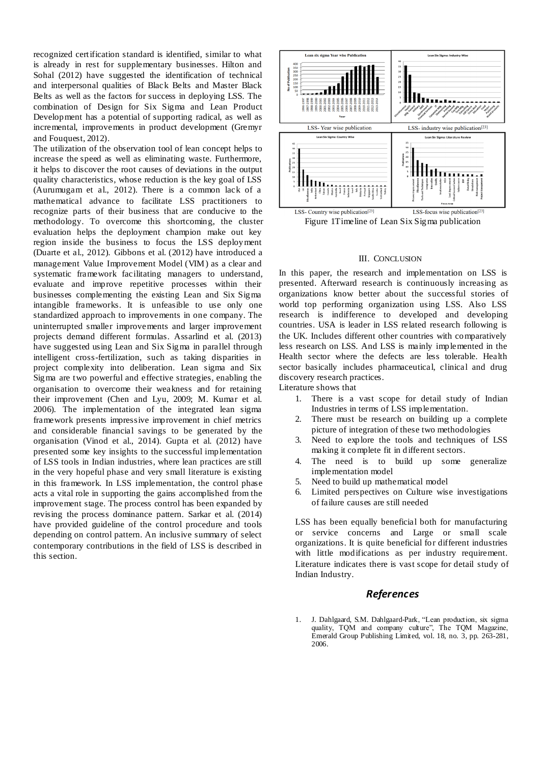recognized certification standard is identified, similar to what is already in rest for supplementary businesses. Hilton and Sohal (2012) have suggested the identification of technical and interpersonal qualities of Black Belts and Master Black Belts as well as the factors for success in deploying LSS. The combination of Design for Six Sigma and Lean Product Development has a potential of supporting radical, as well as incremental, improvements in product development (Gremyr and Fouquest, 2012).

The utilization of the observation tool of lean concept helps to increase the speed as well as eliminating waste. Furthermore, it helps to discover the root causes of deviations in the output quality characteristics, whose reduction is the key goal of LSS (Aurumugam et al., 2012). There is a common lack of a mathematical advance to facilitate LSS practitioners to recognize parts of their business that are conducive to the methodology. To overcome this shortcoming, the cluster evaluation helps the deployment champion make out key region inside the business to focus the LSS deployment (Duarte et al., 2012). Gibbons et al. (2012) have introduced a management Value Improvement Model (VIM) as a clear and systematic framework facilitating managers to understand, evaluate and improve repetitive processes within their businesses complementing the existing Lean and Six Sigma intangible frameworks. It is unfeasible to use only one standardized approach to improvements in one company. The uninterrupted smaller improvements and larger improvement projects demand different formulas. Assarlind et al. (2013) have suggested using Lean and Six Sigma in parallel through intelligent cross-fertilization, such as taking disparities in project complexity into deliberation. Lean sigma and Six Sigma are two powerful and effective strategies, enabling the organisation to overcome their weakness and for retaining their improvement (Chen and Lyu, 2009; M. Kumar et al. 2006). The implementation of the integrated lean sigma framework presents impressive improvement in chief metrics and considerable financial savings to be generated by the organisation (Vinod et al., 2014). Gupta et al. (2012) have presented some key insights to the successful implementation of LSS tools in Indian industries, where lean practices are still in the very hopeful phase and very small literature is existing in this framework. In LSS implementation, the control phase acts a vital role in supporting the gains accomplished from the improvement stage. The process control has been expanded by revising the process dominance pattern. Sarkar et al. (2014) have provided guideline of the control procedure and tools depending on control pattern. An inclusive summary of select contemporary contributions in the field of LSS is described in this section.



Figure 1Timeline of Lean Six Sigma publication

#### III. CONCLUSION

In this paper, the research and implementation on LSS is presented. Afterward research is continuously increasing as organizations know better about the successful stories of world top performing organization using LSS. Also LSS research is indifference to developed and developing countries. USA is leader in LSS related research following is the UK. Includes different other countries with comparatively less research on LSS. And LSS is mainly implemented in the Health sector where the defects are less tolerable. Health sector basically includes pharmaceutical, clinical and drug discovery research practices.

Literature shows that

- 1. There is a vast scope for detail study of Indian Industries in terms of LSS implementation.
- 2. There must be research on building up a complete picture of integration of these two methodologies
- 3. Need to explore the tools and techniques of LSS making it complete fit in different sectors.
- 4. The need is to build up some generalize implementation model
- 5. Need to build up mathematical model
- 6. Limited perspectives on Culture wise investigations of failure causes are still needed

LSS has been equally beneficial both for manufacturing or service concerns and Large or small scale organizations. It is quite beneficial for different industries with little modifications as per industry requirement. Literature indicates there is vast scope for detail study of Indian Industry.

## *References*

1. J. Dahlgaard, S.M. Dahlgaard-Park, "Lean production, six sigma quality, TQM and company culture", The TQM Magazine, Emerald Group Publishing Limited, vol. 18, no. 3, pp. 263-281, 2006.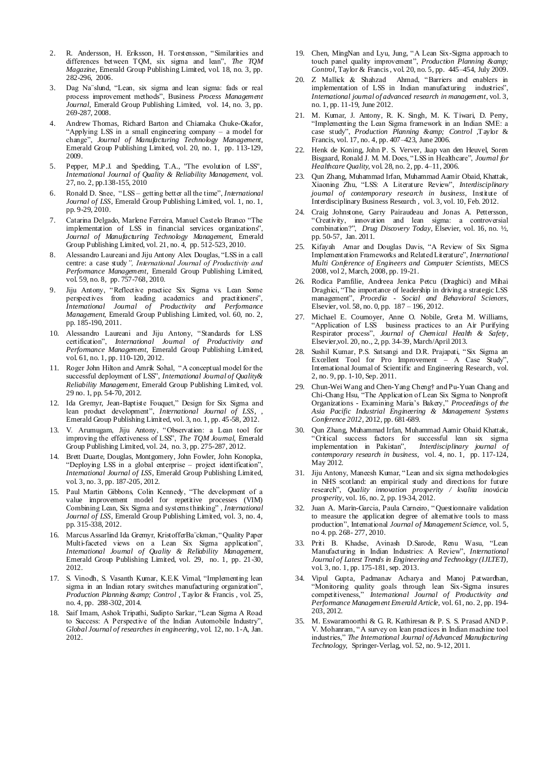- 2. R. Andersson, H. Eriksson, H. Torstensson, "Similarities and differences between TQM, six sigma and lean", *The TQM Magazine*, Emerald Group Publishing Limited, vol. 18, no. 3, pp. 282-296, 2006.
- 3. Dag Na¨slund, "Lean, six sigma and lean sigma: fads or real process improvement methods", Business *Process Management Journal*, Emerald Group Publishing Limited, vol. 14, no. 3, pp. 269-287, 2008.
- 4. Andrew Thomas, Richard Barton and Chiamaka Chuke-Okafor, "Applying LSS in a small engineering company – a model for change", *Journal of Manufacturing Technology Management*, Emerald Group Publishing Limited, vol. 20, no. 1, pp. 113-129, 2009.
- 5. Pepper, M.P.J. and Spedding, T.A., "The evolution of LSS", *International Journal of Quality & Reliability Management*, vol. 27, no. 2, pp.138-155, 2010
- 6. Ronald D. Snee, "LSS getting better all the time", *International Journal of LSS*, Emerald Group Publishing Limited, vol. 1, no. 1, pp. 9-29, 2010.
- 7. Catarina Delgado, Marlene Ferreira, Manuel Castelo Branco "The implementation of LSS in financial services organizations", *Journal of Manufacturing Technology Management*, Emerald Group Publishing Limited, vol. 21, no. 4, pp. 512-523, 2010.
- 8. Alessandro Laureani and Jiju Antony Alex Douglas, "LSS in a call centre: a case study*", International Journal of Productivity and Performance Management*, Emerald Group Publishing Limited, vol. 59, no. 8, pp. 757-768, 2010.
- 9. Jiju Antony, "Reflective practice Six Sigma vs. Lean Some perspectives from leading academics and practitioners", *International Journal of Productivity and Performance Management*, Emerald Group Publishing Limited, vol. 60, no. 2, pp. 185-190, 2011.
- 10. Alessandro Laureani and Jiju Antony, "Standards for LSS certification", *International Journal of Productivity and Performance Management,* Emerald Group Publishing Limited, vol. 61, no. 1, pp. 110-120, 2012.
- 11. Roger John Hilton and Amrik Sohal, "A conceptual model for the successful deployment of LSS", *International Journal of Quality& Reliability Management*, Emerald Group Publishing Limited, vol. 29 no. 1, pp. 54-70, 2012.
- 12. Ida Gremyr, Jean-Baptiste Fouquet," Design for Six Sigma and lean product development", *International Journal of LSS*, , Emerald Group Publishing Limited, vol. 3, no. 1, pp. 45-58, 2012.
- 13. V. Arumugam, Jiju Antony, "Observation: a Lean tool for improving the effectiveness of LSS", *The TQM Journal*, Emerald Group Publishing Limited, vol. 24, no. 3, pp. 275-287, 2012.
- 14. Brett Duarte, Douglas, Montgomery, John Fowler, John Konopka, "Deploying LSS in a global enterprise – project identification", *International Journal of LSS*, Emerald Group Publishing Limited, vol. 3, no. 3, pp. 187-205, 2012.
- 15. Paul Martin Gibbons, Colin Kennedy, "The development of a value improvement model for repetitive processes (VIM) Combining Lean, Six Sigma and systems thinking" , *International Journal of LSS*, Emerald Group Publishing Limited, vol. 3, no. 4, pp. 315-338, 2012.
- 16. Marcus Assarlind Ida Gremyr, KristofferBa¨ckman, "Quality Paper Multi-faceted views on a Lean Six Sigma application", *International Journal of Quality & Reliability Management*, Emerald Group Publishing Limited, vol. 29, no. 1, pp. 21-30, 2012.
- 17. S. Vinodh, S. Vasanth Kumar, K.E.K Vimal, "Implementing lean sigma in an Indian rotary switches manufacturing organization", *Production Planning & Control* , Taylor & Francis , vol. 25, no. 4, pp. 288-302, 2014.
- 18. Saif Imam, Ashok Tripathi, Sudipto Sarkar, "Lean Sigma A Road to Success: A Perspective of the Indian Automobile Industry", *Global Journal of researches in engineering*, vol. 12, no. 1-A, Jan. 2012.
- 19. Chen, MingNan and Lyu, Jung, "A Lean Six-Sigma approach to touch panel quality improvement", *Production Planning & Control*, Taylor & Francis , vol. 20, no. 5, pp. 445–454, July 2009.
- 20. Z Mallick & Shahzad Ahmad, "Barriers and enablers in implementation of LSS in Indian manufacturing industries", *International journal of advanced research in management*, vol. 3, no. 1, pp. 11-19, June 2012.
- 21. M. Kumar, J. Antony, R. K. Singh, M. K. Tiwari, D. Perry, "Implementing the Lean Sigma framework in an Indian SME: a case study", *Production Planning & amp*; Control ,Taylor & Francis, vol. 17, no. 4, pp. 407–423, June 2006.
- 22. Henk de Koning, John P. S. Verver, Jaap van den Heuvel, Soren Bisgaard, Ronald J. M. M. Does, "LSS in Healthcare", *Journal for Healthcare Quality*, vol. 28, no. 2, pp. 4–11, 2006.
- 23. Qun Zhang, Muhammad Irfan, Muhammad Aamir Obaid, Khattak, Xiaoning Zhu, "LSS: A Literature Review", *Interdisciplinary journal of contemporary research in business*, Institute of Interdisciplinary Business Research , vol. 3, vol. 10, Feb. 2012.
- 24. Craig Johnstone, Garry Pairaudeau and Jonas A. Pettersson, "Creativity, innovation and lean sigma: a controversial combination?", *Drug Discovery Today*, Elsevier, vol. 16, no. ½, pp. 50-57, Jan. 2011.
- 25. Kifayah Amar and Douglas Davis, "A Review of Six Sigma Implementation Frameworks and Related Literature", *International Multi Conference of Engineers and Computer Scientists*, MECS 2008, vol 2, March, 2008, pp. 19-21.
- 26. Rodica Pamfilie, Andreea Jenica Petcu (Draghici) and Mihai Draghici, "The importance of leadership in driving a strategic LSS management", *Procedia - Social and Behavioral Sciences*, Elsevier, vol. 58, no. 0, pp. 187 – 196, 2012.
- 27. Michael E. Cournoyer, Anne O. Nobile, Greta M. Williams, "Application of LSS business practices to an Air Purifying Respirator process", *Journal of Chemical Health & Safety*, Elsevier,vol. 20, no., 2, pp. 34-39, March/April 2013.
- 28. Sushil Kumar, P.S. Satsangi and D.R. Prajapati, "Six Sigma an Excellent Tool for Pro Improvement – A Case Study", International Journal of Scientific and Engineering Research, vol. 2, no. 9, pp. 1-10, Sep. 2011.
- 29. Chun-Wei Wang and Chen-Yang Cheng† and Pu-Yuan Chang and Chi-Chang Hsu, "The Application of Lean Six Sigma to Nonprofit Organizations - Examining Maria's Bakery," *Proceedings of the Asia Pacific Industrial Engineering & Management Systems Conference 2012*, 2012, pp. 681-689.
- 30. Qun Zhang, Muhammad Irfan, Muhammad Aamir Obaid Khattak, "Critical success factors for successful lean six sigma implementation in Pakistan", *Interdisciplinary journal of contemporary research in business*, vol. 4, no. 1, pp. 117-124, May 2012.
- 31. Jiju Antony, Maneesh Kumar, "Lean and six sigma methodologies in NHS scotland: an empirical study and directions for future research", *Quality innovation prosperity / kvalita inovácia prosperity*, vol. 16, no. 2, pp. 19-34, 2012.
- 32. Juan A. Marin-Garcia, Paula Carneiro, "Questionnaire validation to measure the application degree of alternative tools to mass production", International *Journal of Management Science*, vol. 5, no 4. pp. 268- 277, 2010.
- 33. Priti B. Khadse, Avinash D.Sarode, Renu Wasu, "Lean Manufacturing in Indian Industries: A Review", *International Journal of Latest Trends in Engineering and Technology (IJLTET),* vol. 3, no. 1, pp. 175-181, sep. 2013.
- 34. Vipul Gupta, Padmanav Acharya and Manoj Patwardhan, "Monitoring quality goals through lean Six-Sigma insures competitiveness," *International Journal of Productivity and Performance Management Emerald Article,* vol. 61, no. 2, pp. 194- 203, 2012.
- 35. M. Eswaramoorthi & G. R. Kathiresan & P. S. S. Prasad AND P. V. Mohanram, "A survey on lean practices in Indian machine tool industries," *The International Journal of Advanced Manufacturing Technology*, Springer-Verlag, vol. 52, no. 9-12, 2011.